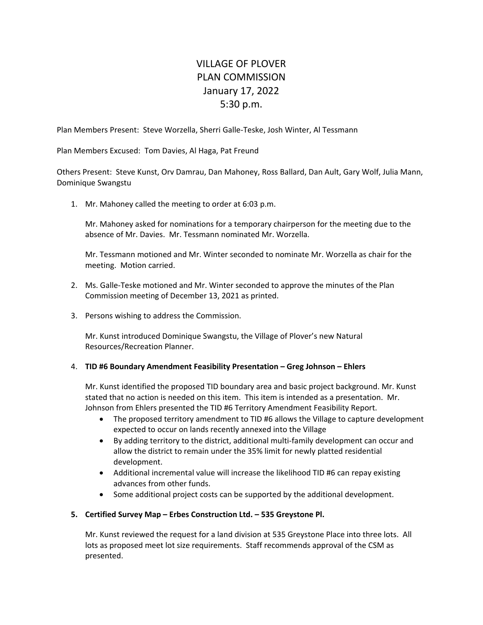## VILLAGE OF PLOVER PLAN COMMISSION January 17, 2022 5:30 p.m.

Plan Members Present: Steve Worzella, Sherri Galle‐Teske, Josh Winter, Al Tessmann

Plan Members Excused: Tom Davies, Al Haga, Pat Freund

Others Present: Steve Kunst, Orv Damrau, Dan Mahoney, Ross Ballard, Dan Ault, Gary Wolf, Julia Mann, Dominique Swangstu

1. Mr. Mahoney called the meeting to order at 6:03 p.m.

Mr. Mahoney asked for nominations for a temporary chairperson for the meeting due to the absence of Mr. Davies. Mr. Tessmann nominated Mr. Worzella.

Mr. Tessmann motioned and Mr. Winter seconded to nominate Mr. Worzella as chair for the meeting. Motion carried.

- 2. Ms. Galle‐Teske motioned and Mr. Winter seconded to approve the minutes of the Plan Commission meeting of December 13, 2021 as printed.
- 3. Persons wishing to address the Commission.

Mr. Kunst introduced Dominique Swangstu, the Village of Plover's new Natural Resources/Recreation Planner.

## 4. **TID #6 Boundary Amendment Feasibility Presentation – Greg Johnson – Ehlers**

Mr. Kunst identified the proposed TID boundary area and basic project background. Mr. Kunst stated that no action is needed on this item. This item is intended as a presentation. Mr. Johnson from Ehlers presented the TID #6 Territory Amendment Feasibility Report.

- The proposed territory amendment to TID #6 allows the Village to capture development expected to occur on lands recently annexed into the Village
- By adding territory to the district, additional multi‐family development can occur and allow the district to remain under the 35% limit for newly platted residential development.
- Additional incremental value will increase the likelihood TID #6 can repay existing advances from other funds.
- Some additional project costs can be supported by the additional development.

## **5. Certified Survey Map – Erbes Construction Ltd. – 535 Greystone Pl.**

Mr. Kunst reviewed the request for a land division at 535 Greystone Place into three lots. All lots as proposed meet lot size requirements. Staff recommends approval of the CSM as presented.